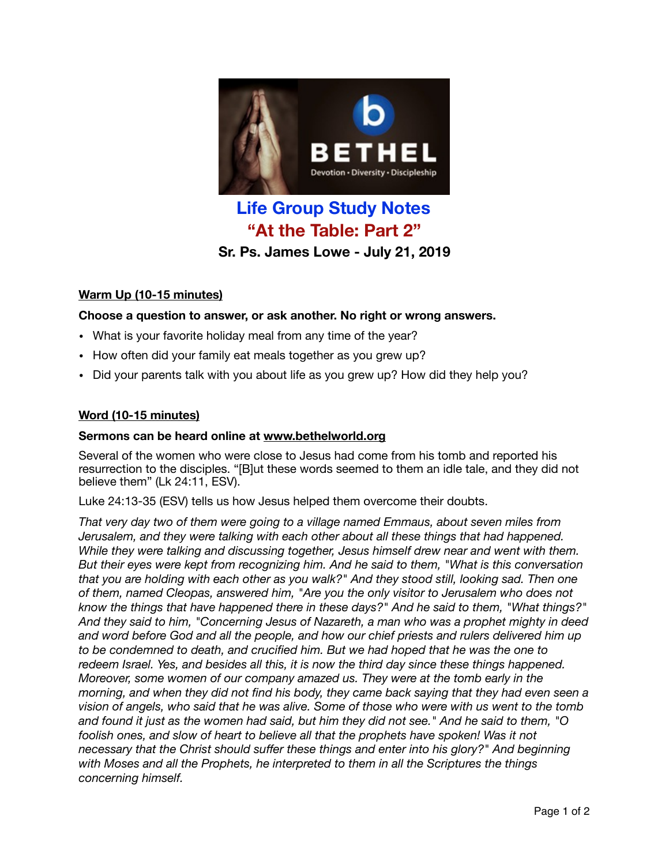

# **Life Group Study Notes "At the Table: Part 2" Sr. Ps. James Lowe - July 21, 2019**

## **Warm Up (10-15 minutes)**

## **Choose a question to answer, or ask another. No right or wrong answers.**

- What is your favorite holiday meal from any time of the year?
- How often did your family eat meals together as you grew up?
- Did your parents talk with you about life as you grew up? How did they help you?

#### **Word (10-15 minutes)**

#### **Sermons can be heard online at [www.bethelworld.org](http://www.bethelworld.org)**

Several of the women who were close to Jesus had come from his tomb and reported his resurrection to the disciples. "[B]ut these words seemed to them an idle tale, and they did not believe them" (Lk 24:11, ESV).

Luke 24:13-35 (ESV) tells us how Jesus helped them overcome their doubts.

*That very day two of them were going to a village named Emmaus, about seven miles from Jerusalem, and they were talking with each other about all these things that had happened. While they were talking and discussing together, Jesus himself drew near and went with them. But their eyes were kept from recognizing him. And he said to them, "What is this conversation that you are holding with each other as you walk?" And they stood still, looking sad. Then one of them, named Cleopas, answered him, "Are you the only visitor to Jerusalem who does not know the things that have happened there in these days?" And he said to them, "What things?" And they said to him, "Concerning Jesus of Nazareth, a man who was a prophet mighty in deed and word before God and all the people, and how our chief priests and rulers delivered him up*  to be condemned to death, and crucified him. But we had hoped that he was the one to *redeem Israel. Yes, and besides all this, it is now the third day since these things happened. Moreover, some women of our company amazed us. They were at the tomb early in the morning, and when they did not find his body, they came back saying that they had even seen a vision of angels, who said that he was alive. Some of those who were with us went to the tomb and found it just as the women had said, but him they did not see." And he said to them, "O*  foolish ones, and slow of heart to believe all that the prophets have spoken! Was it not *necessary that the Christ should suffer these things and enter into his glory?" And beginning with Moses and all the Prophets, he interpreted to them in all the Scriptures the things concerning himself.*